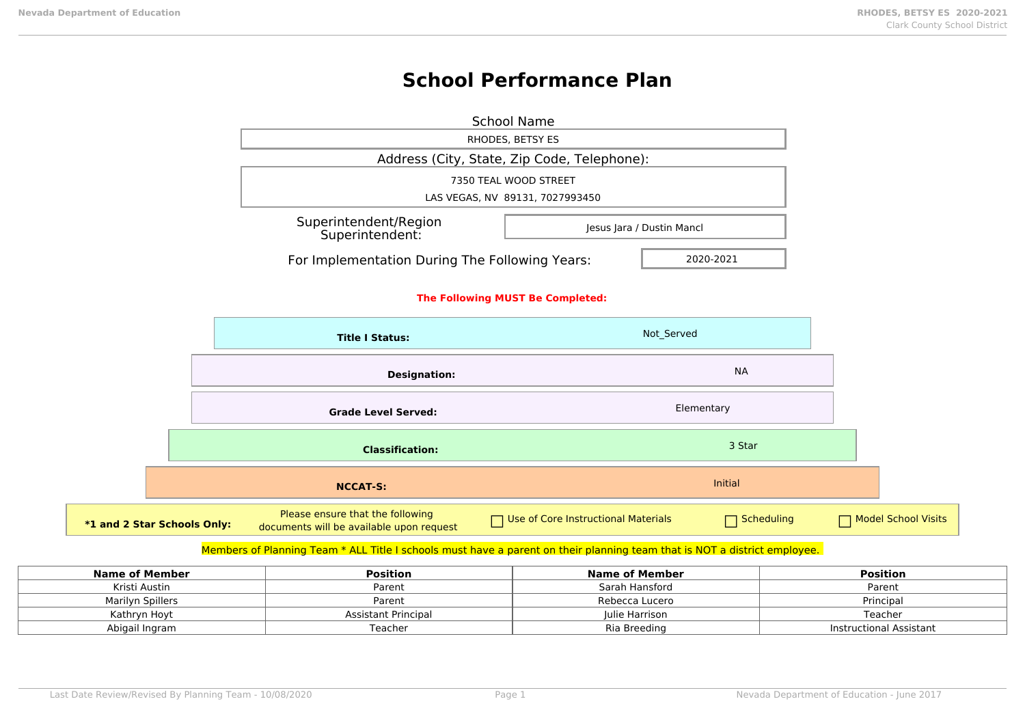$*1$  and 2

# **School Performance Plan**

|                                  | <b>School Name</b><br>RHODES, BETSY ES                                       |                                                          |            |  |                            |
|----------------------------------|------------------------------------------------------------------------------|----------------------------------------------------------|------------|--|----------------------------|
|                                  | Address (City, State, Zip Code, Telephone):                                  |                                                          |            |  |                            |
|                                  |                                                                              |                                                          |            |  |                            |
|                                  |                                                                              | 7350 TEAL WOOD STREET<br>LAS VEGAS, NV 89131, 7027993450 |            |  |                            |
|                                  | Superintendent/Region<br>Superintendent:                                     | Jesus Jara / Dustin Mancl                                |            |  |                            |
|                                  | For Implementation During The Following Years:                               |                                                          | 2020-2021  |  |                            |
| The Following MUST Be Completed: |                                                                              |                                                          |            |  |                            |
|                                  | <b>Title I Status:</b>                                                       | Not_Served                                               |            |  |                            |
|                                  | <b>Designation:</b>                                                          |                                                          | <b>NA</b>  |  |                            |
|                                  | <b>Grade Level Served:</b>                                                   |                                                          | Elementary |  |                            |
|                                  | <b>Classification:</b>                                                       |                                                          | 3 Star     |  |                            |
|                                  | <b>NCCAT-S:</b>                                                              |                                                          | Initial    |  |                            |
| <b>Star Schools Only:</b>        | Please ensure that the following<br>documents will be available upon request | Use of Core Instructional Materials                      | Scheduling |  | <b>Model School Visits</b> |

# Members of Planning Team \* ALL Title I schools must have a parent on their planning team that is NOT a district employee.

| Name of Member   | <b>Position</b>     | Name of Member | <b>Position</b>         |
|------------------|---------------------|----------------|-------------------------|
| Kristi Austin    | Parent              | Sarah Hansford | Parent                  |
| Marilyn Spillers | Parent              | Rebecca Lucero | Principal               |
| Kathryn Hoyt     | Assistant Principal | Julie Harrison | Teacher                 |
| Abigail Ingram   | Teacher             | Ria Breeding   | Instructional Assistant |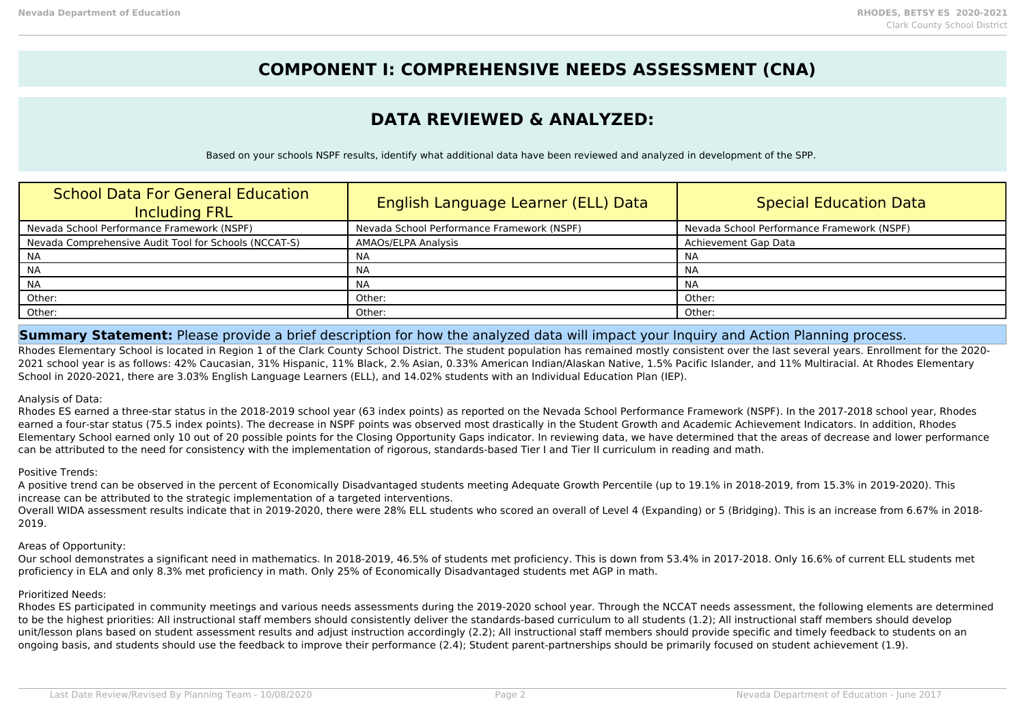# **COMPONENT I: COMPREHENSIVE NEEDS ASSESSMENT (CNA)**

# **DATA REVIEWED & ANALYZED:**

Based on your schools NSPF results, identify what additional data have been reviewed and analyzed in development of the SPP.

| <b>School Data For General Education</b><br><b>Including FRL</b> | English Language Learner (ELL) Data        | Special Education Data                     |
|------------------------------------------------------------------|--------------------------------------------|--------------------------------------------|
| Nevada School Performance Framework (NSPF)                       | Nevada School Performance Framework (NSPF) | Nevada School Performance Framework (NSPF) |
| Nevada Comprehensive Audit Tool for Schools (NCCAT-S)            | AMAOs/ELPA Analysis                        | Achievement Gap Data                       |
| <b>NA</b>                                                        | NA.                                        | ΝA                                         |
| <b>NA</b>                                                        | ΝA                                         | ΝA                                         |
| <b>NA</b>                                                        | NA.                                        | <b>NA</b>                                  |
| Other:                                                           | Other:                                     | Other:                                     |
| Other:                                                           | Other:                                     | Other:                                     |

# **Summary Statement:** Please provide a brief description for how the analyzed data will impact your Inquiry and Action Planning process.

Rhodes Elementary School is located in Region 1 of the Clark County School District. The student population has remained mostly consistent over the last several years. Enrollment for the 2020-2021 school year is as follows: 42% Caucasian, 31% Hispanic, 11% Black, 2.% Asian, 0.33% American Indian/Alaskan Native, 1.5% Pacific Islander, and 11% Multiracial. At Rhodes Elementary School in 2020-2021, there are 3.03% English Language Learners (ELL), and 14.02% students with an Individual Education Plan (IEP).

## Analysis of Data:

Rhodes ES earned a three-star status in the 2018-2019 school year (63 index points) as reported on the Nevada School Performance Framework (NSPF). In the 2017-2018 school year, Rhodes earned a four-star status (75.5 index points). The decrease in NSPF points was observed most drastically in the Student Growth and Academic Achievement Indicators. In addition, Rhodes Elementary School earned only 10 out of 20 possible points for the Closing Opportunity Gaps indicator. In reviewing data, we have determined that the areas of decrease and lower performance can be attributed to the need for consistency with the implementation of rigorous, standards-based Tier I and Tier II curriculum in reading and math.

## Positive Trends:

A positive trend can be observed in the percent of Economically Disadvantaged students meeting Adequate Growth Percentile (up to 19.1% in 2018-2019, from 15.3% in 2019-2020). This increase can be attributed to the strategic implementation of a targeted interventions.

Overall WIDA assessment results indicate that in 2019-2020, there were 28% ELL students who scored an overall of Level 4 (Expanding) or 5 (Bridging). This is an increase from 6.67% in 2018- 2019.

## Areas of Opportunity:

Our school demonstrates a significant need in mathematics. In 2018-2019, 46.5% of students met proficiency. This is down from 53.4% in 2017-2018. Only 16.6% of current ELL students met proficiency in ELA and only 8.3% met proficiency in math. Only 25% of Economically Disadvantaged students met AGP in math.

## Prioritized Needs:

Rhodes ES participated in community meetings and various needs assessments during the 2019-2020 school year. Through the NCCAT needs assessment, the following elements are determined to be the highest priorities: All instructional staff members should consistently deliver the standards-based curriculum to all students (1.2); All instructional staff members should develop unit/lesson plans based on student assessment results and adjust instruction accordingly (2.2); All instructional staff members should provide specific and timely feedback to students on an ongoing basis, and students should use the feedback to improve their performance (2.4); Student parent-partnerships should be primarily focused on student achievement (1.9).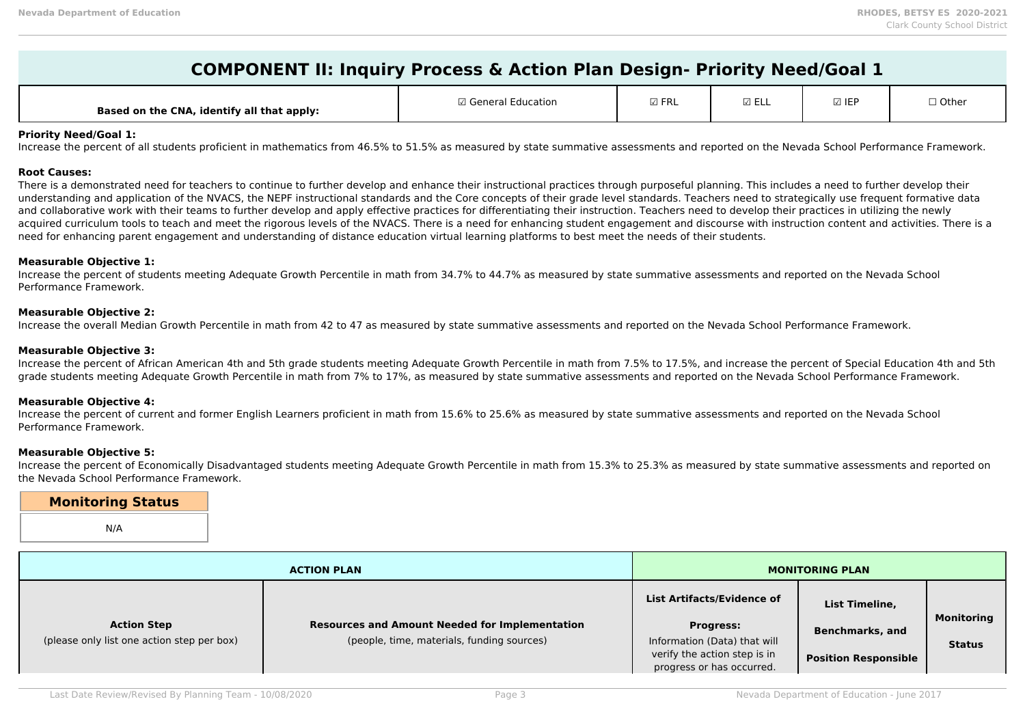# **COMPONENT II: Inquiry Process & Action Plan Design- Priority Need/Goal 1**

| <b>Based on the CNA,</b><br>identify all that apply: | <sup>3</sup> Generai<br>ducation | $\boxdot$ FRL | ⊠ EL∟ | ☑ IEF | ] Othe |
|------------------------------------------------------|----------------------------------|---------------|-------|-------|--------|
|------------------------------------------------------|----------------------------------|---------------|-------|-------|--------|

#### **Priority Need/Goal 1:**

Increase the percent of all students proficient in mathematics from 46.5% to 51.5% as measured by state summative assessments and reported on the Nevada School Performance Framework.

#### **Root Causes:**

There is a demonstrated need for teachers to continue to further develop and enhance their instructional practices through purposeful planning. This includes a need to further develop their understanding and application of the NVACS, the NEPF instructional standards and the Core concepts of their grade level standards. Teachers need to strategically use frequent formative data and collaborative work with their teams to further develop and apply effective practices for differentiating their instruction. Teachers need to develop their practices in utilizing the newly acquired curriculum tools to teach and meet the rigorous levels of the NVACS. There is a need for enhancing student engagement and discourse with instruction content and activities. There is a need for enhancing parent engagement and understanding of distance education virtual learning platforms to best meet the needs of their students.

### **Measurable Objective 1:**

Increase the percent of students meeting Adequate Growth Percentile in math from 34.7% to 44.7% as measured by state summative assessments and reported on the Nevada School Performance Framework.

#### **Measurable Objective 2:**

Increase the overall Median Growth Percentile in math from 42 to 47 as measured by state summative assessments and reported on the Nevada School Performance Framework.

#### **Measurable Objective 3:**

Increase the percent of African American 4th and 5th grade students meeting Adequate Growth Percentile in math from 7.5% to 17.5%, and increase the percent of Special Education 4th and 5th grade students meeting Adequate Growth Percentile in math from 7% to 17%, as measured by state summative assessments and reported on the Nevada School Performance Framework.

#### **Measurable Objective 4:**

Increase the percent of current and former English Learners proficient in math from 15.6% to 25.6% as measured by state summative assessments and reported on the Nevada School Performance Framework.

#### **Measurable Objective 5:**

Increase the percent of Economically Disadvantaged students meeting Adequate Growth Percentile in math from 15.3% to 25.3% as measured by state summative assessments and reported on the Nevada School Performance Framework.

**Monitoring Status** N/A

|                                            | <b>ACTION PLAN</b>                                    |                                   | <b>MONITORING PLAN</b>      |                   |
|--------------------------------------------|-------------------------------------------------------|-----------------------------------|-----------------------------|-------------------|
|                                            |                                                       | <b>List Artifacts/Evidence of</b> | List Timeline,              |                   |
| <b>Action Step</b>                         | <b>Resources and Amount Needed for Implementation</b> | <b>Progress:</b>                  | Benchmarks, and             | <b>Monitoring</b> |
| (please only list one action step per box) | (people, time, materials, funding sources)            | Information (Data) that will      |                             | <b>Status</b>     |
|                                            |                                                       | verify the action step is in      | <b>Position Responsible</b> |                   |
|                                            |                                                       | progress or has occurred.         |                             |                   |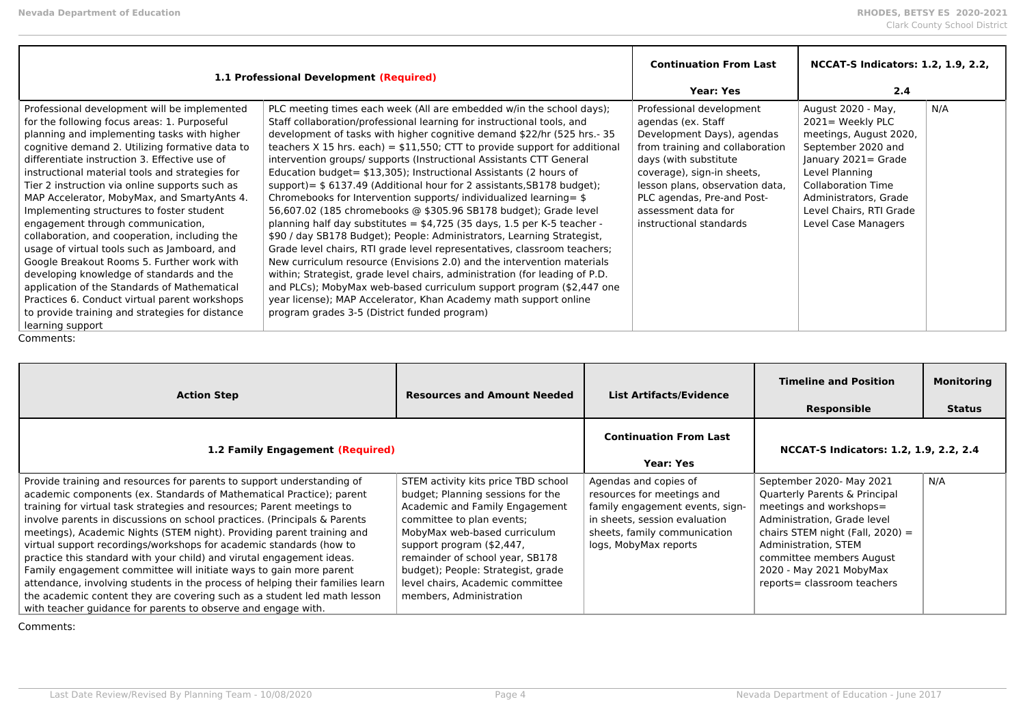|                                                                                                                                                                                                                                                                                                                                                                                                                                                                                                                                                                                                                                                                                                                                                                                                                                                           | 1.1 Professional Development (Required)                                                                                                                                                                                                                                                                                                                                                                                                                                                                                                                                                                                                                                                                                                                                                                                                                                                                                                                                                                                                                                                                                                                                                                                                                              | <b>Continuation From Last</b><br>Year: Yes                                                                                                                                                                                                                                                | <b>NCCAT-S Indicators: 1.2, 1.9, 2.2,</b><br>2.4                                                                                                                                                                                           |     |
|-----------------------------------------------------------------------------------------------------------------------------------------------------------------------------------------------------------------------------------------------------------------------------------------------------------------------------------------------------------------------------------------------------------------------------------------------------------------------------------------------------------------------------------------------------------------------------------------------------------------------------------------------------------------------------------------------------------------------------------------------------------------------------------------------------------------------------------------------------------|----------------------------------------------------------------------------------------------------------------------------------------------------------------------------------------------------------------------------------------------------------------------------------------------------------------------------------------------------------------------------------------------------------------------------------------------------------------------------------------------------------------------------------------------------------------------------------------------------------------------------------------------------------------------------------------------------------------------------------------------------------------------------------------------------------------------------------------------------------------------------------------------------------------------------------------------------------------------------------------------------------------------------------------------------------------------------------------------------------------------------------------------------------------------------------------------------------------------------------------------------------------------|-------------------------------------------------------------------------------------------------------------------------------------------------------------------------------------------------------------------------------------------------------------------------------------------|--------------------------------------------------------------------------------------------------------------------------------------------------------------------------------------------------------------------------------------------|-----|
| Professional development will be implemented<br>for the following focus areas: 1. Purposeful<br>planning and implementing tasks with higher<br>cognitive demand 2. Utilizing formative data to<br>differentiate instruction 3. Effective use of<br>instructional material tools and strategies for<br>Tier 2 instruction via online supports such as<br>MAP Accelerator, MobyMax, and SmartyAnts 4.<br>Implementing structures to foster student<br>engagement through communication,<br>collaboration, and cooperation, including the<br>usage of virtual tools such as Jamboard, and<br>Google Breakout Rooms 5. Further work with<br>developing knowledge of standards and the<br>application of the Standards of Mathematical<br>Practices 6. Conduct virtual parent workshops<br>to provide training and strategies for distance<br>learning support | PLC meeting times each week (All are embedded w/in the school days);<br>Staff collaboration/professional learning for instructional tools, and<br>development of tasks with higher cognitive demand \$22/hr (525 hrs.- 35<br>teachers $X$ 15 hrs. each) = $$11,550$ ; CTT to provide support for additional<br>intervention groups/ supports (Instructional Assistants CTT General<br>Education budget = \$13,305); Instructional Assistants (2 hours of<br>support) = $$6137.49$ (Additional hour for 2 assistants, SB178 budget);<br>Chromebooks for Intervention supports/ individualized learning= \$<br>56,607.02 (185 chromebooks @ \$305.96 SB178 budget); Grade level<br>planning half day substitutes = $$4,725$ (35 days, 1.5 per K-5 teacher -<br>\$90 / day SB178 Budget); People: Administrators, Learning Strategist,<br>Grade level chairs, RTI grade level representatives, classroom teachers;<br>New curriculum resource (Envisions 2.0) and the intervention materials<br>within; Strategist, grade level chairs, administration (for leading of P.D.<br>and PLCs); MobyMax web-based curriculum support program (\$2,447 one<br>year license); MAP Accelerator, Khan Academy math support online<br>program grades 3-5 (District funded program) | Professional development<br>agendas (ex. Staff<br>Development Days), agendas<br>from training and collaboration<br>days (with substitute<br>coverage), sign-in sheets,<br>lesson plans, observation data,<br>PLC agendas, Pre-and Post-<br>assessment data for<br>instructional standards | August 2020 - May,<br>$2021 =$ Weekly PLC<br>meetings, August 2020,<br>September 2020 and<br>January 2021= Grade<br>Level Planning<br><b>Collaboration Time</b><br>Administrators, Grade<br>Level Chairs, RTI Grade<br>Level Case Managers | N/A |

| <b>Action Step</b>                                                                                                                                                                                                                                                                                                                                                                                                                                                                                                                                                                                                                                                                                                                                                                                                                  | <b>Resources and Amount Needed</b>                                                                                                                                                                                                                                                                                                           | <b>List Artifacts/Evidence</b>                                                                                                                                                   | <b>Timeline and Position</b><br>Responsible                                                                                                                                                                                                                             | Monitoring<br>Status |
|-------------------------------------------------------------------------------------------------------------------------------------------------------------------------------------------------------------------------------------------------------------------------------------------------------------------------------------------------------------------------------------------------------------------------------------------------------------------------------------------------------------------------------------------------------------------------------------------------------------------------------------------------------------------------------------------------------------------------------------------------------------------------------------------------------------------------------------|----------------------------------------------------------------------------------------------------------------------------------------------------------------------------------------------------------------------------------------------------------------------------------------------------------------------------------------------|----------------------------------------------------------------------------------------------------------------------------------------------------------------------------------|-------------------------------------------------------------------------------------------------------------------------------------------------------------------------------------------------------------------------------------------------------------------------|----------------------|
| 1.2 Family Engagement (Required)                                                                                                                                                                                                                                                                                                                                                                                                                                                                                                                                                                                                                                                                                                                                                                                                    |                                                                                                                                                                                                                                                                                                                                              | <b>Continuation From Last</b><br><b>Year: Yes</b>                                                                                                                                | NCCAT-S Indicators: 1.2, 1.9, 2.2, 2.4                                                                                                                                                                                                                                  |                      |
| Provide training and resources for parents to support understanding of<br>academic components (ex. Standards of Mathematical Practice); parent<br>training for virtual task strategies and resources; Parent meetings to<br>involve parents in discussions on school practices. (Principals & Parents<br>meetings), Academic Nights (STEM night). Providing parent training and<br>virtual support recordings/workshops for academic standards (how to<br>practice this standard with your child) and virutal engagement ideas.<br>Family engagement committee will initiate ways to gain more parent<br>attendance, involving students in the process of helping their families learn<br>the academic content they are covering such as a student led math lesson<br>with teacher guidance for parents to observe and engage with. | STEM activity kits price TBD school<br>budget; Planning sessions for the<br>Academic and Family Engagement<br>committee to plan events;<br>MobyMax web-based curriculum<br>support program (\$2,447,<br>remainder of school year, SB178<br>budget); People: Strategist, grade<br>level chairs, Academic committee<br>members, Administration | Agendas and copies of<br>resources for meetings and<br>family engagement events, sign-<br>in sheets, session evaluation<br>sheets, family communication<br>logs, MobyMax reports | September 2020- May 2021<br>Quarterly Parents & Principal<br>meetings and workshops=<br>Administration, Grade level<br>chairs STEM night (Fall, 2020) $=$<br>Administration, STEM<br>committee members August<br>2020 - May 2021 MobyMax<br>reports= classroom teachers | N/A                  |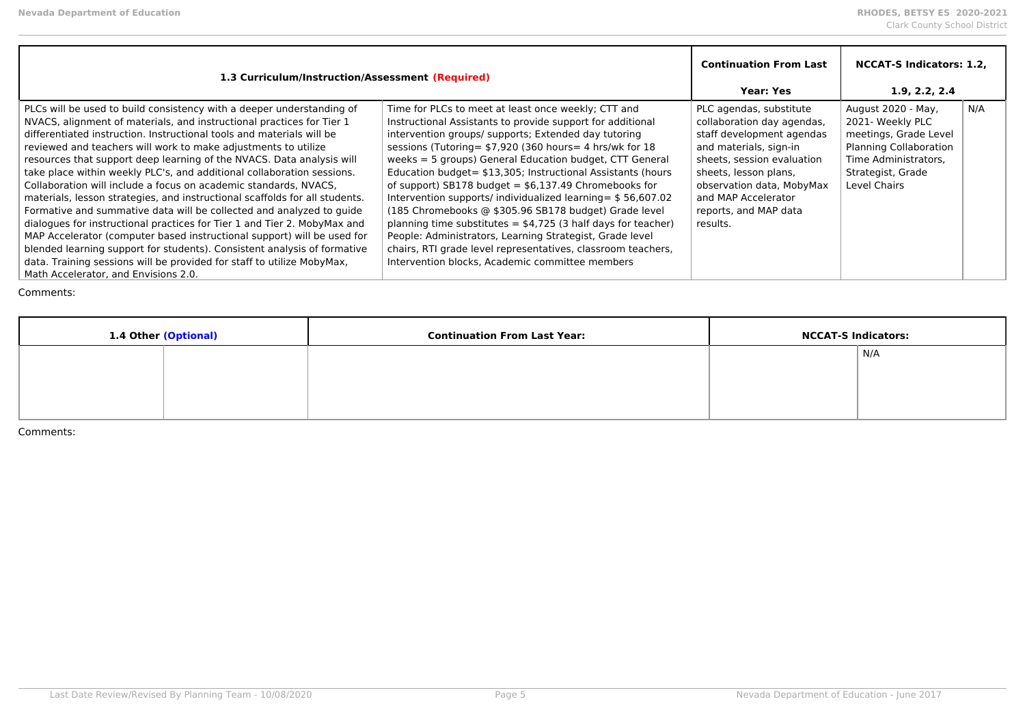| 1.3 Curriculum/Instruction/Assessment (Required)                                                                                                                                                                                                                                                                                                                                                                                                                                                                                                                                                                                                                                                                                                                                                                                                                                                                                                                                                                             |                                                                                                                                                                                                                                                                                                                                                                                                                                                                                                                                                                                                                                                                                                                                                                                                         | <b>Continuation From Last</b><br><b>Year: Yes</b>                                                                                                                                                                                                            | <b>NCCAT-S Indicators: 1.2.</b><br>1.9, 2.2, 2.4                                                                                                       |     |
|------------------------------------------------------------------------------------------------------------------------------------------------------------------------------------------------------------------------------------------------------------------------------------------------------------------------------------------------------------------------------------------------------------------------------------------------------------------------------------------------------------------------------------------------------------------------------------------------------------------------------------------------------------------------------------------------------------------------------------------------------------------------------------------------------------------------------------------------------------------------------------------------------------------------------------------------------------------------------------------------------------------------------|---------------------------------------------------------------------------------------------------------------------------------------------------------------------------------------------------------------------------------------------------------------------------------------------------------------------------------------------------------------------------------------------------------------------------------------------------------------------------------------------------------------------------------------------------------------------------------------------------------------------------------------------------------------------------------------------------------------------------------------------------------------------------------------------------------|--------------------------------------------------------------------------------------------------------------------------------------------------------------------------------------------------------------------------------------------------------------|--------------------------------------------------------------------------------------------------------------------------------------------------------|-----|
| PLCs will be used to build consistency with a deeper understanding of<br>NVACS, alignment of materials, and instructional practices for Tier 1<br>differentiated instruction. Instructional tools and materials will be<br>reviewed and teachers will work to make adjustments to utilize<br>resources that support deep learning of the NVACS. Data analysis will<br>take place within weekly PLC's, and additional collaboration sessions.<br>Collaboration will include a focus on academic standards. NVACS.<br>materials, lesson strategies, and instructional scaffolds for all students.<br>Formative and summative data will be collected and analyzed to quide<br>dialogues for instructional practices for Tier 1 and Tier 2. MobyMax and<br>MAP Accelerator (computer based instructional support) will be used for<br>blended learning support for students). Consistent analysis of formative<br>data. Training sessions will be provided for staff to utilize MobyMax,<br>Math Accelerator, and Envisions 2.0. | Time for PLCs to meet at least once weekly; CTT and<br>Instructional Assistants to provide support for additional<br>intervention groups/ supports; Extended day tutoring<br>sessions (Tutoring = $$7,920$ (360 hours = 4 hrs/wk for 18<br>weeks = 5 groups) General Education budget, CTT General<br>Education budget = \$13,305; Instructional Assistants (hours<br>of support) SB178 budget = $$6,137.49$ Chromebooks for<br>Intervention supports/ individualized learning = \$56,607.02<br>(185 Chromebooks @ \$305.96 SB178 budget) Grade level<br>planning time substitutes $=$ \$4,725 (3 half days for teacher)<br>People: Administrators, Learning Strategist, Grade level<br>chairs, RTI grade level representatives, classroom teachers,<br>Intervention blocks. Academic committee members | PLC agendas, substitute<br>collaboration day agendas,<br>staff development agendas<br>and materials, sign-in<br>sheets, session evaluation<br>sheets, lesson plans,<br>observation data, MobyMax<br>and MAP Accelerator<br>reports, and MAP data<br>results. | August 2020 - May,<br>2021- Weekly PLC<br>meetings, Grade Level<br>Planning Collaboration<br>Time Administrators.<br>Strategist, Grade<br>Level Chairs | N/A |

| 1.4 Other (Optional) | <b>Continuation From Last Year:</b> | <b>NCCAT-S Indicators:</b> |     |
|----------------------|-------------------------------------|----------------------------|-----|
|                      |                                     |                            | N/A |
|                      |                                     |                            |     |
|                      |                                     |                            |     |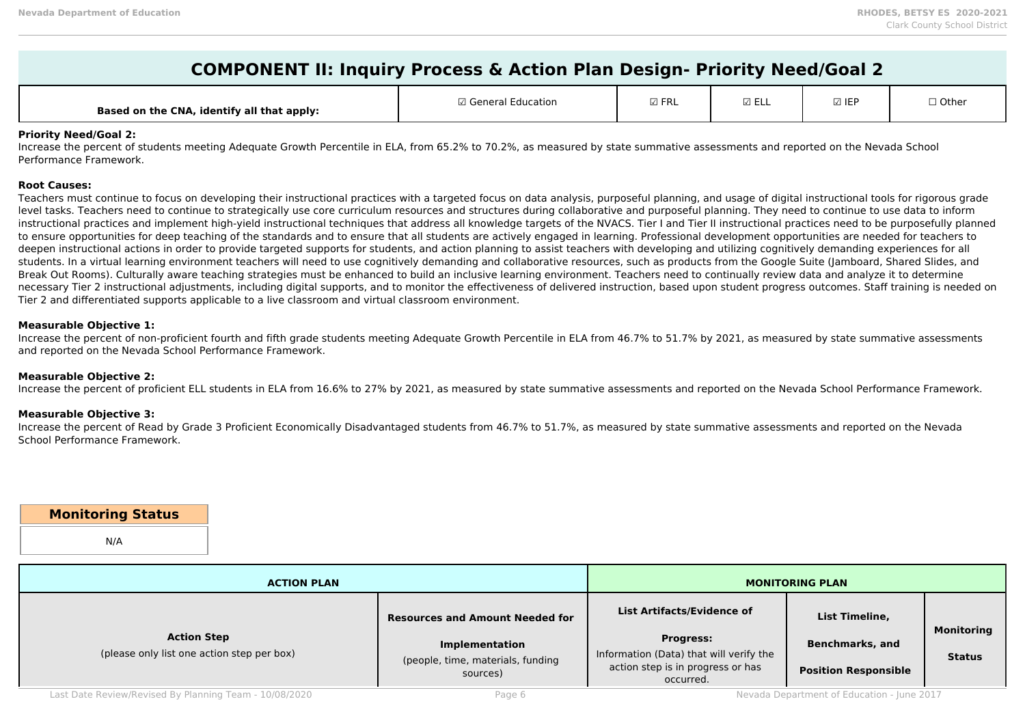| <b>COMPONENT II: Inquiry Process &amp; Action Plan Design- Priority Need/Goal 2</b> |  |
|-------------------------------------------------------------------------------------|--|
|-------------------------------------------------------------------------------------|--|

| Based on the CNA, identify all that apply: | $\Box$ Conoral $\Box$<br>cation | $\boxdot$ FRL | ⊾∟∟ | l IEP | ' Other |
|--------------------------------------------|---------------------------------|---------------|-----|-------|---------|
|--------------------------------------------|---------------------------------|---------------|-----|-------|---------|

#### **Priority Need/Goal 2:**

Increase the percent of students meeting Adequate Growth Percentile in ELA, from 65.2% to 70.2%, as measured by state summative assessments and reported on the Nevada School Performance Framework.

#### **Root Causes:**

Teachers must continue to focus on developing their instructional practices with a targeted focus on data analysis, purposeful planning, and usage of digital instructional tools for rigorous grade level tasks. Teachers need to continue to strategically use core curriculum resources and structures during collaborative and purposeful planning. They need to continue to use data to inform instructional practices and implement high-yield instructional techniques that address all knowledge targets of the NVACS. Tier I and Tier II instructional practices need to be purposefully planned to ensure opportunities for deep teaching of the standards and to ensure that all students are actively engaged in learning. Professional development opportunities are needed for teachers to deepen instructional actions in order to provide targeted supports for students, and action planning to assist teachers with developing and utilizing cognitively demanding experiences for all students. In a virtual learning environment teachers will need to use cognitively demanding and collaborative resources, such as products from the Google Suite (Jamboard, Shared Slides, and Break Out Rooms). Culturally aware teaching strategies must be enhanced to build an inclusive learning environment. Teachers need to continually review data and analyze it to determine necessary Tier 2 instructional adjustments, including digital supports, and to monitor the effectiveness of delivered instruction, based upon student progress outcomes. Staff training is needed on Tier 2 and differentiated supports applicable to a live classroom and virtual classroom environment.

#### **Measurable Objective 1:**

Increase the percent of non-proficient fourth and fifth grade students meeting Adequate Growth Percentile in ELA from 46.7% to 51.7% by 2021, as measured by state summative assessments and reported on the Nevada School Performance Framework.

### **Measurable Objective 2:**

Increase the percent of proficient ELL students in ELA from 16.6% to 27% by 2021, as measured by state summative assessments and reported on the Nevada School Performance Framework.

#### **Measurable Objective 3:**

Increase the percent of Read by Grade 3 Proficient Economically Disadvantaged students from 46.7% to 51.7%, as measured by state summative assessments and reported on the Nevada School Performance Framework.

| <b>Monitoring Status</b> |  |
|--------------------------|--|
| N/A                      |  |

| <b>ACTION PLAN</b>                                               |                                                                                                           |                                                                                                                                                    | <b>MONITORING PLAN</b>                                           |                                    |
|------------------------------------------------------------------|-----------------------------------------------------------------------------------------------------------|----------------------------------------------------------------------------------------------------------------------------------------------------|------------------------------------------------------------------|------------------------------------|
| <b>Action Step</b><br>(please only list one action step per box) | <b>Resources and Amount Needed for</b><br>Implementation<br>(people, time, materials, funding<br>sources) | <b>List Artifacts/Evidence of</b><br><b>Progress:</b><br>Information (Data) that will verify the<br>action step is in progress or has<br>occurred. | List Timeline,<br>Benchmarks, and<br><b>Position Responsible</b> | <b>Monitoring</b><br><b>Status</b> |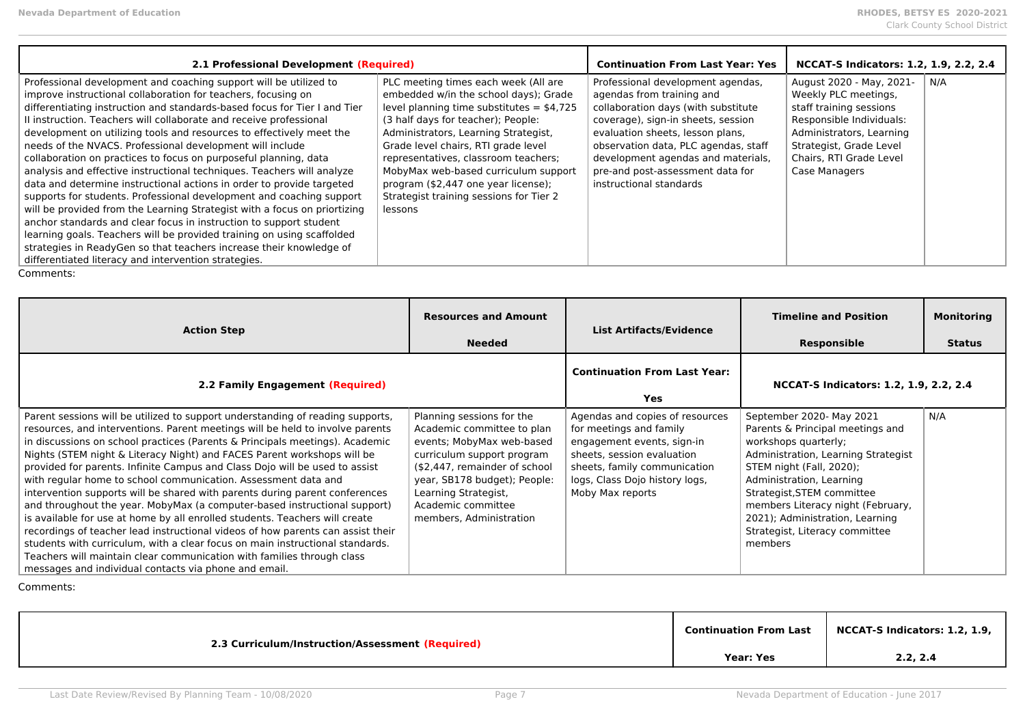| 2.1 Professional Development (Required)                                                                                                                                                                                                                                                                                                                                                                                                                                                                                                                                                                                                                                                                                                                                                                                                                                                                                                                                                                                                                                                         |                                                                                                                                                                                                                                                                                                                                                                                                                                | <b>Continuation From Last Year: Yes</b>                                                                                                                                                                                                                                                                                      | NCCAT-S Indicators: 1.2, 1.9, 2.2, 2.4                                                                                                                                                                     |     |
|-------------------------------------------------------------------------------------------------------------------------------------------------------------------------------------------------------------------------------------------------------------------------------------------------------------------------------------------------------------------------------------------------------------------------------------------------------------------------------------------------------------------------------------------------------------------------------------------------------------------------------------------------------------------------------------------------------------------------------------------------------------------------------------------------------------------------------------------------------------------------------------------------------------------------------------------------------------------------------------------------------------------------------------------------------------------------------------------------|--------------------------------------------------------------------------------------------------------------------------------------------------------------------------------------------------------------------------------------------------------------------------------------------------------------------------------------------------------------------------------------------------------------------------------|------------------------------------------------------------------------------------------------------------------------------------------------------------------------------------------------------------------------------------------------------------------------------------------------------------------------------|------------------------------------------------------------------------------------------------------------------------------------------------------------------------------------------------------------|-----|
| Professional development and coaching support will be utilized to<br>improve instructional collaboration for teachers, focusing on<br>differentiating instruction and standards-based focus for Tier I and Tier<br>Il instruction. Teachers will collaborate and receive professional<br>development on utilizing tools and resources to effectively meet the<br>needs of the NVACS. Professional development will include<br>collaboration on practices to focus on purposeful planning, data<br>analysis and effective instructional techniques. Teachers will analyze<br>data and determine instructional actions in order to provide targeted<br>supports for students. Professional development and coaching support<br>will be provided from the Learning Strategist with a focus on priortizing<br>anchor standards and clear focus in instruction to support student<br>learning goals. Teachers will be provided training on using scaffolded<br>strategies in ReadyGen so that teachers increase their knowledge of<br>differentiated literacy and intervention strategies.<br>Common | PLC meeting times each week (All are<br>embedded w/in the school days); Grade<br>level planning time substitutes $=$ \$4,725<br>(3 half days for teacher); People:<br>Administrators, Learning Strategist,<br>Grade level chairs, RTI grade level<br>representatives, classroom teachers;<br>MobyMax web-based curriculum support<br>program (\$2,447 one year license);<br>Strategist training sessions for Tier 2<br>lessons | Professional development agendas,<br>agendas from training and<br>collaboration days (with substitute<br>coverage), sign-in sheets, session<br>evaluation sheets, lesson plans,<br>observation data, PLC agendas, staff<br>development agendas and materials,<br>pre-and post-assessment data for<br>instructional standards | August 2020 - May, 2021-<br>Weekly PLC meetings,<br>staff training sessions<br>Responsible Individuals:<br>Administrators, Learning<br>Strategist, Grade Level<br>Chairs, RTI Grade Level<br>Case Managers | N/A |

| <b>Action Step</b>                                                                                                                                                                                                                                                                                                                                                                                                                                                                                                                                                                                                                                                                                                                                                                                                                                                                                                                                                                                                            | <b>Resources and Amount</b><br><b>Needed</b>                                                                                                                                                                                                                  | <b>List Artifacts/Evidence</b>                                                                                                                                                                               | <b>Timeline and Position</b><br>Responsible                                                                                                                                                                                                                                                                                            | <b>Monitoring</b><br><b>Status</b> |
|-------------------------------------------------------------------------------------------------------------------------------------------------------------------------------------------------------------------------------------------------------------------------------------------------------------------------------------------------------------------------------------------------------------------------------------------------------------------------------------------------------------------------------------------------------------------------------------------------------------------------------------------------------------------------------------------------------------------------------------------------------------------------------------------------------------------------------------------------------------------------------------------------------------------------------------------------------------------------------------------------------------------------------|---------------------------------------------------------------------------------------------------------------------------------------------------------------------------------------------------------------------------------------------------------------|--------------------------------------------------------------------------------------------------------------------------------------------------------------------------------------------------------------|----------------------------------------------------------------------------------------------------------------------------------------------------------------------------------------------------------------------------------------------------------------------------------------------------------------------------------------|------------------------------------|
| 2.2 Family Engagement (Required)                                                                                                                                                                                                                                                                                                                                                                                                                                                                                                                                                                                                                                                                                                                                                                                                                                                                                                                                                                                              |                                                                                                                                                                                                                                                               | <b>Continuation From Last Year:</b><br>Yes                                                                                                                                                                   | NCCAT-S Indicators: 1.2, 1.9, 2.2, 2.4                                                                                                                                                                                                                                                                                                 |                                    |
| Parent sessions will be utilized to support understanding of reading supports,<br>resources, and interventions. Parent meetings will be held to involve parents<br>in discussions on school practices (Parents & Principals meetings). Academic<br>Nights (STEM night & Literacy Night) and FACES Parent workshops will be<br>provided for parents. Infinite Campus and Class Dojo will be used to assist<br>with regular home to school communication. Assessment data and<br>intervention supports will be shared with parents during parent conferences<br>and throughout the year. MobyMax (a computer-based instructional support)<br>is available for use at home by all enrolled students. Teachers will create<br>recordings of teacher lead instructional videos of how parents can assist their<br>students with curriculum, with a clear focus on main instructional standards.<br>Teachers will maintain clear communication with families through class<br>messages and individual contacts via phone and email. | Planning sessions for the<br>Academic committee to plan<br>events; MobyMax web-based<br>curriculum support program<br>(\$2,447, remainder of school)<br>year, SB178 budget); People:<br>Learning Strategist,<br>Academic committee<br>members, Administration | Agendas and copies of resources<br>for meetings and family<br>engagement events, sign-in<br>sheets, session evaluation<br>sheets, family communication<br>logs, Class Dojo history logs,<br>Moby Max reports | September 2020- May 2021<br>Parents & Principal meetings and<br>workshops quarterly;<br>Administration, Learning Strategist<br>STEM night (Fall, 2020);<br>Administration, Learning<br>Strategist, STEM committee<br>members Literacy night (February,<br>2021); Administration, Learning<br>Strategist, Literacy committee<br>members | N/A                                |

| 2.3 Curriculum/Instruction/Assessment (Required) | <b>Continuation From Last</b> | NCCAT-S Indicators: 1.2, 1.9, |
|--------------------------------------------------|-------------------------------|-------------------------------|
|                                                  | Year: Yes                     | 2.2, 2.4                      |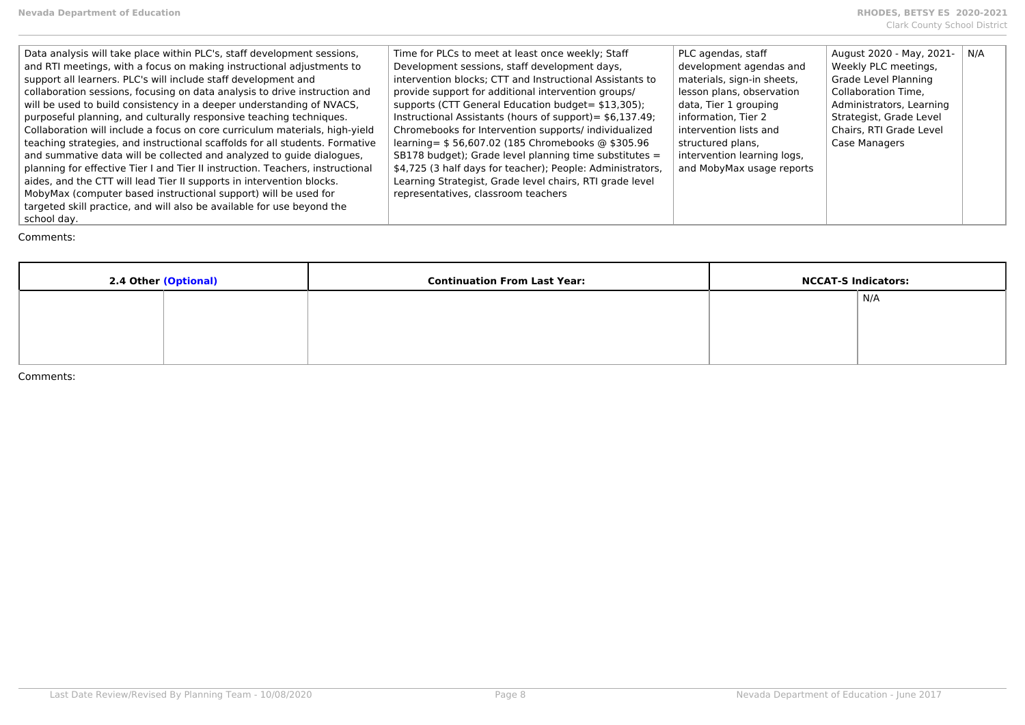| Data analysis will take place within PLC's, staff development sessions,<br>and RTI meetings, with a focus on making instructional adjustments to<br>support all learners. PLC's will include staff development and<br>collaboration sessions, focusing on data analysis to drive instruction and<br>will be used to build consistency in a deeper understanding of NVACS,<br>purposeful planning, and culturally responsive teaching techniques.<br>Collaboration will include a focus on core curriculum materials, high-yield<br>teaching strategies, and instructional scaffolds for all students. Formative<br>and summative data will be collected and analyzed to quide dialogues,<br>planning for effective Tier I and Tier II instruction. Teachers, instructional<br>aides, and the CTT will lead Tier II supports in intervention blocks.<br>MobyMax (computer based instructional support) will be used for<br>targeted skill practice, and will also be available for use beyond the | Time for PLCs to meet at least once weekly; Staff<br>Development sessions, staff development days,<br>intervention blocks; CTT and Instructional Assistants to<br>provide support for additional intervention groups/<br>supports (CTT General Education budget = \$13,305);<br>Instructional Assistants (hours of support) = $$6,137.49;$<br>Chromebooks for Intervention supports/ individualized<br>learning = \$56,607.02 (185 Chromebooks @ \$305.96<br>SB178 budget); Grade level planning time substitutes $=$<br>\$4,725 (3 half days for teacher); People: Administrators,<br>Learning Strategist, Grade level chairs, RTI grade level<br>representatives, classroom teachers | PLC agendas, staff<br>development agendas and<br>materials, sign-in sheets,<br>lesson plans, observation<br>data, Tier 1 grouping<br>information. Tier 2<br>intervention lists and<br>structured plans,<br>intervention learning logs,<br>and MobyMax usage reports | August 2020 - May, 2021-<br>Weekly PLC meetings,<br>Grade Level Planning<br>Collaboration Time.<br>Administrators, Learning<br>Strategist, Grade Level<br>Chairs, RTI Grade Level<br>Case Managers | N/A |
|--------------------------------------------------------------------------------------------------------------------------------------------------------------------------------------------------------------------------------------------------------------------------------------------------------------------------------------------------------------------------------------------------------------------------------------------------------------------------------------------------------------------------------------------------------------------------------------------------------------------------------------------------------------------------------------------------------------------------------------------------------------------------------------------------------------------------------------------------------------------------------------------------------------------------------------------------------------------------------------------------|----------------------------------------------------------------------------------------------------------------------------------------------------------------------------------------------------------------------------------------------------------------------------------------------------------------------------------------------------------------------------------------------------------------------------------------------------------------------------------------------------------------------------------------------------------------------------------------------------------------------------------------------------------------------------------------|---------------------------------------------------------------------------------------------------------------------------------------------------------------------------------------------------------------------------------------------------------------------|----------------------------------------------------------------------------------------------------------------------------------------------------------------------------------------------------|-----|
| school day.                                                                                                                                                                                                                                                                                                                                                                                                                                                                                                                                                                                                                                                                                                                                                                                                                                                                                                                                                                                      |                                                                                                                                                                                                                                                                                                                                                                                                                                                                                                                                                                                                                                                                                        |                                                                                                                                                                                                                                                                     |                                                                                                                                                                                                    |     |
|                                                                                                                                                                                                                                                                                                                                                                                                                                                                                                                                                                                                                                                                                                                                                                                                                                                                                                                                                                                                  |                                                                                                                                                                                                                                                                                                                                                                                                                                                                                                                                                                                                                                                                                        |                                                                                                                                                                                                                                                                     |                                                                                                                                                                                                    |     |

| 2.4 Other (Optional) | <b>Continuation From Last Year:</b> | <b>NCCAT-S Indicators:</b> |     |
|----------------------|-------------------------------------|----------------------------|-----|
|                      |                                     |                            | N/A |
|                      |                                     |                            |     |
|                      |                                     |                            |     |
|                      |                                     |                            |     |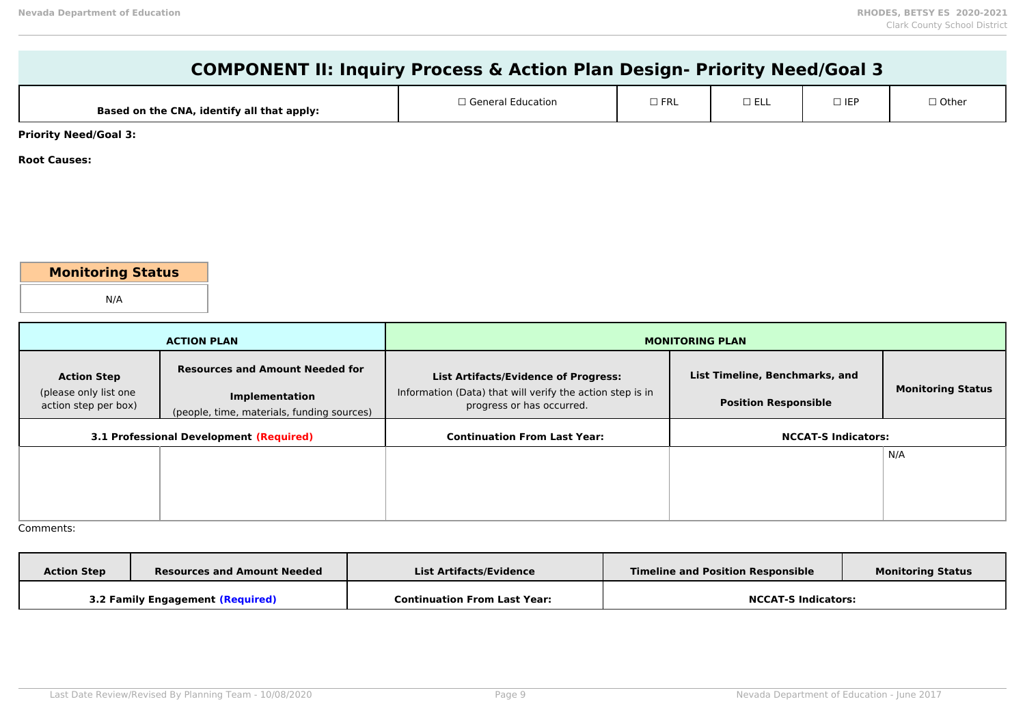|                                               | <b>COMPONENT II: Inquiry Process &amp; Action Plan Design- Priority Need/Goal 3</b> |                                                                                        |                        |                                |                            |                          |
|-----------------------------------------------|-------------------------------------------------------------------------------------|----------------------------------------------------------------------------------------|------------------------|--------------------------------|----------------------------|--------------------------|
|                                               | Based on the CNA, identify all that apply:                                          | □ General Education                                                                    | $\Box$ FRL             | $\square$ ELL                  | $\Box$ IEP                 | $\Box$ Other             |
| <b>Priority Need/Goal 3:</b>                  |                                                                                     |                                                                                        |                        |                                |                            |                          |
| <b>Root Causes:</b>                           |                                                                                     |                                                                                        |                        |                                |                            |                          |
|                                               |                                                                                     |                                                                                        |                        |                                |                            |                          |
|                                               |                                                                                     |                                                                                        |                        |                                |                            |                          |
|                                               |                                                                                     |                                                                                        |                        |                                |                            |                          |
|                                               |                                                                                     |                                                                                        |                        |                                |                            |                          |
| <b>Monitoring Status</b>                      |                                                                                     |                                                                                        |                        |                                |                            |                          |
| N/A                                           |                                                                                     |                                                                                        |                        |                                |                            |                          |
|                                               | <b>ACTION PLAN</b>                                                                  |                                                                                        | <b>MONITORING PLAN</b> |                                |                            |                          |
| <b>Action Step</b>                            | <b>Resources and Amount Needed for</b>                                              | <b>List Artifacts/Evidence of Progress:</b>                                            |                        | List Timeline, Benchmarks, and |                            |                          |
| (please only list one<br>action step per box) | Implementation<br>(people, time, materials, funding sources)                        | Information (Data) that will verify the action step is in<br>progress or has occurred. |                        | <b>Position Responsible</b>    |                            | <b>Monitoring Status</b> |
|                                               | <b>3.1 Professional Development (Required)</b>                                      | <b>Continuation From Last Year:</b>                                                    |                        |                                | <b>NCCAT-S Indicators:</b> |                          |
|                                               |                                                                                     |                                                                                        |                        |                                |                            | N/A                      |
|                                               |                                                                                     |                                                                                        |                        |                                |                            |                          |
|                                               |                                                                                     |                                                                                        |                        |                                |                            |                          |

| <b>Action Step</b>               | <b>Resources and Amount Needed</b> | <b>List Artifacts/Evidence</b>      | <b>Timeline and Position Responsible</b> | <b>Monitoring Status</b> |
|----------------------------------|------------------------------------|-------------------------------------|------------------------------------------|--------------------------|
| 3.2 Family Engagement (Required) |                                    | <b>Continuation From Last Year:</b> | <b>NCCAT-S Indicators:</b>               |                          |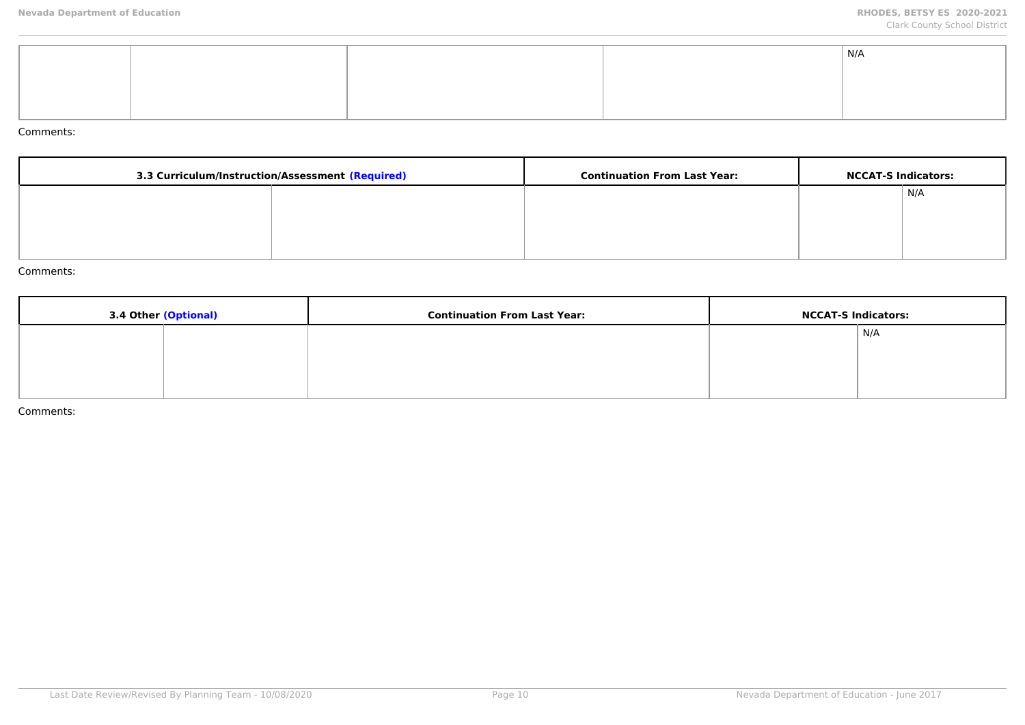|  |  | N/A |
|--|--|-----|
|  |  |     |
|  |  |     |
|  |  |     |
|  |  |     |
|  |  |     |
|  |  |     |

| 3.3 Curriculum/Instruction/Assessment (Required) |  | <b>Continuation From Last Year:</b> | <b>NCCAT-S Indicators:</b> |     |
|--------------------------------------------------|--|-------------------------------------|----------------------------|-----|
|                                                  |  |                                     |                            | N/A |
|                                                  |  |                                     |                            |     |
|                                                  |  |                                     |                            |     |
|                                                  |  |                                     |                            |     |

#### Comments:

| 3.4 Other (Optional) | <b>Continuation From Last Year:</b> | <b>NCCAT-S Indicators:</b> |     |
|----------------------|-------------------------------------|----------------------------|-----|
|                      |                                     |                            | N/A |
|                      |                                     |                            |     |
|                      |                                     |                            |     |
|                      |                                     |                            |     |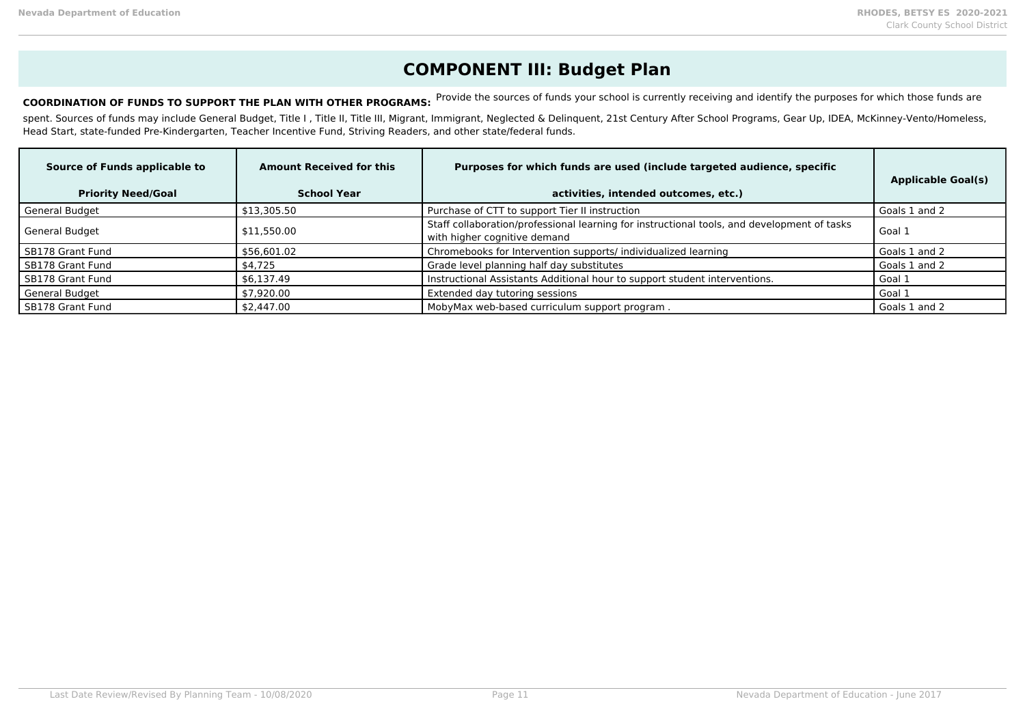# **COMPONENT III: Budget Plan**

COORDINATION OF FUNDS TO SUPPORT THE PLAN WITH OTHER PROGRAMS: Provide the sources of funds your school is currently receiving and identify the purposes for which those funds are

spent. Sources of funds may include General Budget, Title I, Title II, Title III, Migrant, Immigrant, Neglected & Delinquent, 21st Century After School Programs, Gear Up, IDEA, McKinney-Vento/Homeless, Head Start, state-funded Pre-Kindergarten, Teacher Incentive Fund, Striving Readers, and other state/federal funds.

| Source of Funds applicable to<br><b>Priority Need/Goal</b> | <b>Amount Received for this</b><br><b>School Year</b> | Purposes for which funds are used (include targeted audience, specific<br>activities, intended outcomes, etc.)              | <b>Applicable Goal(s)</b> |
|------------------------------------------------------------|-------------------------------------------------------|-----------------------------------------------------------------------------------------------------------------------------|---------------------------|
| General Budget                                             | \$13,305.50                                           | Purchase of CTT to support Tier II instruction                                                                              | Goals 1 and 2             |
| General Budget                                             | \$11,550.00                                           | Staff collaboration/professional learning for instructional tools, and development of tasks<br>with higher cognitive demand | Goal 1                    |
| SB178 Grant Fund                                           | \$56,601.02                                           | Chromebooks for Intervention supports/ individualized learning                                                              | Goals 1 and 2             |
| SB178 Grant Fund                                           | \$4,725                                               | Grade level planning half day substitutes                                                                                   | Goals 1 and 2             |
| l SB178 Grant Fund                                         | \$6,137.49                                            | Instructional Assistants Additional hour to support student interventions.                                                  | Goal 1                    |
| General Budget                                             | \$7.920.00                                            | Extended day tutoring sessions                                                                                              | Goal 1                    |
| SB178 Grant Fund                                           | \$2,447.00                                            | MobyMax web-based curriculum support program.                                                                               | Goals 1 and 2             |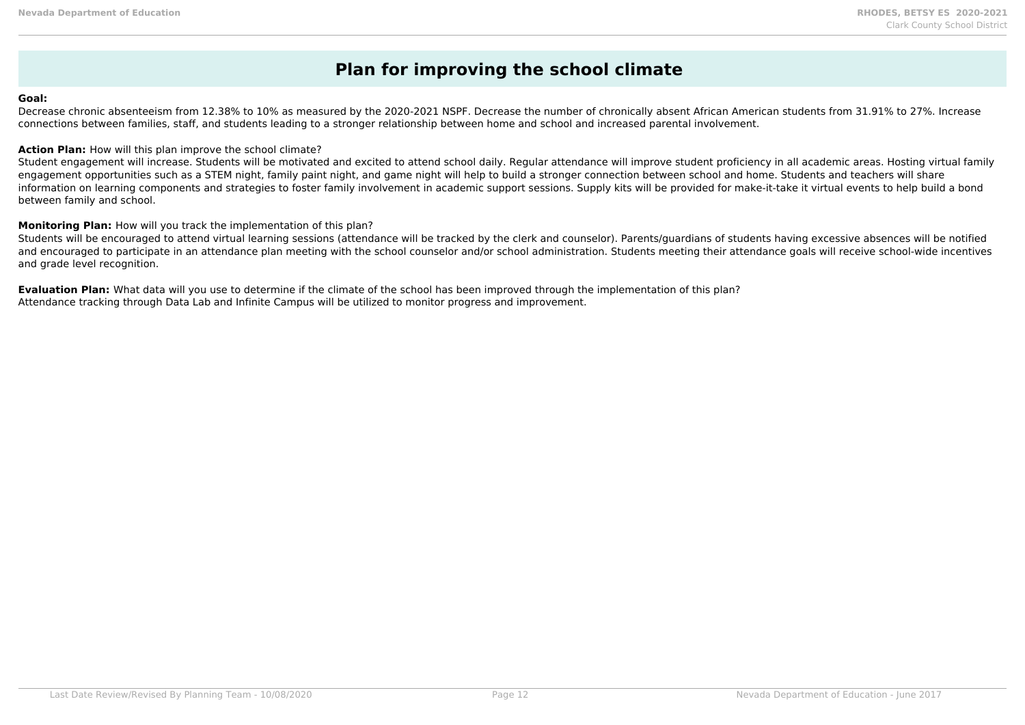# **Plan for improving the school climate**

#### **Goal:**

Decrease chronic absenteeism from 12.38% to 10% as measured by the 2020-2021 NSPF. Decrease the number of chronically absent African American students from 31.91% to 27%. Increase connections between families, staff, and students leading to a stronger relationship between home and school and increased parental involvement.

#### **Action Plan:** How will this plan improve the school climate?

Student engagement will increase. Students will be motivated and excited to attend school daily. Regular attendance will improve student proficiency in all academic areas. Hosting virtual family engagement opportunities such as a STEM night, family paint night, and game night will help to build a stronger connection between school and home. Students and teachers will share information on learning components and strategies to foster family involvement in academic support sessions. Supply kits will be provided for make-it-take it virtual events to help build a bond between family and school.

#### **Monitoring Plan:** How will you track the implementation of this plan?

Students will be encouraged to attend virtual learning sessions (attendance will be tracked by the clerk and counselor). Parents/guardians of students having excessive absences will be notified and encouraged to participate in an attendance plan meeting with the school counselor and/or school administration. Students meeting their attendance goals will receive school-wide incentives and grade level recognition.

**Evaluation Plan:** What data will you use to determine if the climate of the school has been improved through the implementation of this plan? Attendance tracking through Data Lab and Infinite Campus will be utilized to monitor progress and improvement.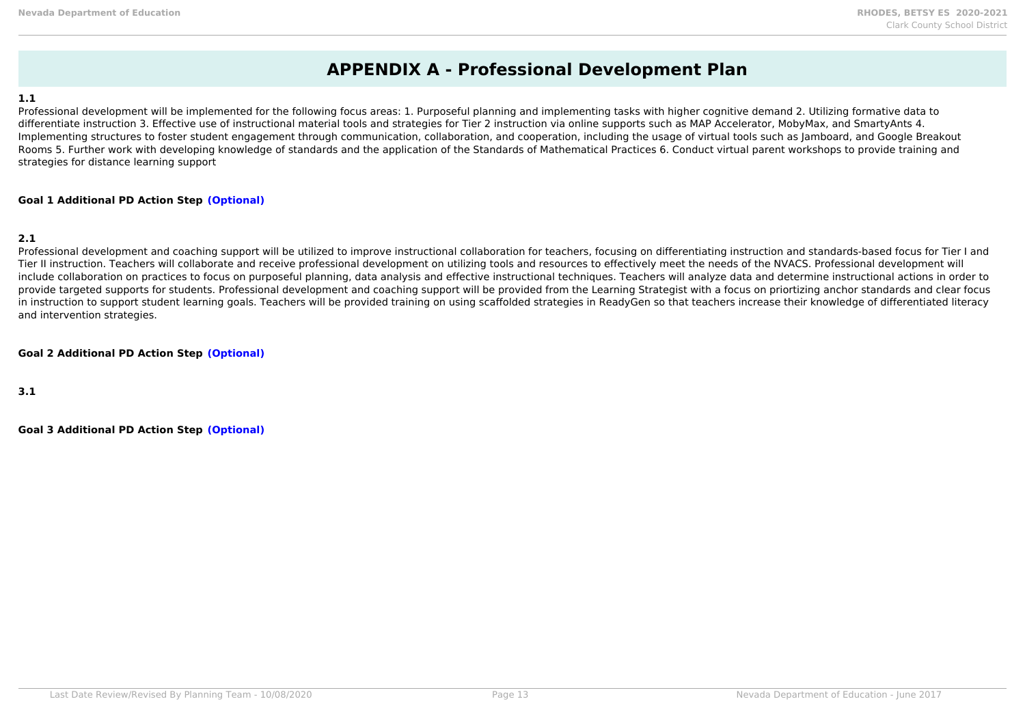# **APPENDIX A - Professional Development Plan**

### **1.1**

Professional development will be implemented for the following focus areas: 1. Purposeful planning and implementing tasks with higher cognitive demand 2. Utilizing formative data to differentiate instruction 3. Effective use of instructional material tools and strategies for Tier 2 instruction via online supports such as MAP Accelerator, MobyMax, and SmartyAnts 4. Implementing structures to foster student engagement through communication, collaboration, and cooperation, including the usage of virtual tools such as Jamboard, and Google Breakout Rooms 5. Further work with developing knowledge of standards and the application of the Standards of Mathematical Practices 6. Conduct virtual parent workshops to provide training and strategies for distance learning support

## **Goal 1 Additional PD Action Step (Optional)**

# **2.1**

Professional development and coaching support will be utilized to improve instructional collaboration for teachers, focusing on differentiating instruction and standards-based focus for Tier I and Tier II instruction. Teachers will collaborate and receive professional development on utilizing tools and resources to effectively meet the needs of the NVACS. Professional development will include collaboration on practices to focus on purposeful planning, data analysis and effective instructional techniques. Teachers will analyze data and determine instructional actions in order to provide targeted supports for students. Professional development and coaching support will be provided from the Learning Strategist with a focus on priortizing anchor standards and clear focus in instruction to support student learning goals. Teachers will be provided training on using scaffolded strategies in ReadyGen so that teachers increase their knowledge of differentiated literacy and intervention strategies.

## **Goal 2 Additional PD Action Step (Optional)**

**3.1**

**Goal 3 Additional PD Action Step (Optional)**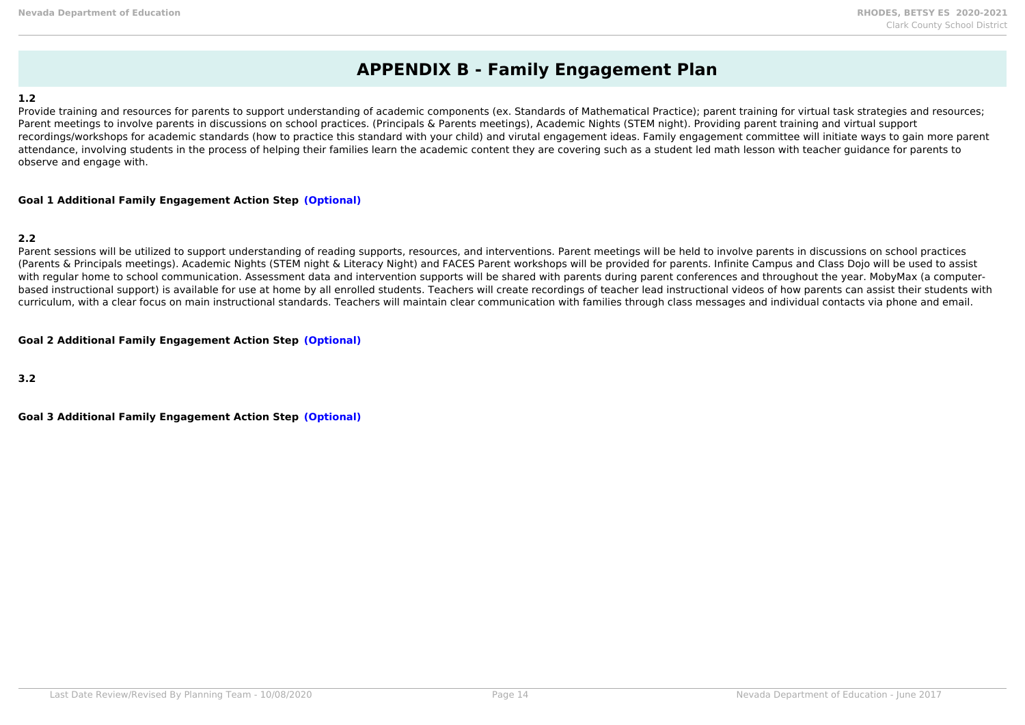# **APPENDIX B - Family Engagement Plan**

### **1.2**

Provide training and resources for parents to support understanding of academic components (ex. Standards of Mathematical Practice); parent training for virtual task strategies and resources; Parent meetings to involve parents in discussions on school practices. (Principals & Parents meetings), Academic Nights (STEM night). Providing parent training and virtual support recordings/workshops for academic standards (how to practice this standard with your child) and virutal engagement ideas. Family engagement committee will initiate ways to gain more parent attendance, involving students in the process of helping their families learn the academic content they are covering such as a student led math lesson with teacher guidance for parents to observe and engage with.

### **Goal 1 Additional Family Engagement Action Step (Optional)**

# **2.2**

Parent sessions will be utilized to support understanding of reading supports, resources, and interventions. Parent meetings will be held to involve parents in discussions on school practices (Parents & Principals meetings). Academic Nights (STEM night & Literacy Night) and FACES Parent workshops will be provided for parents. Infinite Campus and Class Dojo will be used to assist with regular home to school communication. Assessment data and intervention supports will be shared with parents during parent conferences and throughout the year. MobyMax (a computerbased instructional support) is available for use at home by all enrolled students. Teachers will create recordings of teacher lead instructional videos of how parents can assist their students with curriculum, with a clear focus on main instructional standards. Teachers will maintain clear communication with families through class messages and individual contacts via phone and email.

### **Goal 2 Additional Family Engagement Action Step (Optional)**

**3.2**

**Goal 3 Additional Family Engagement Action Step (Optional)**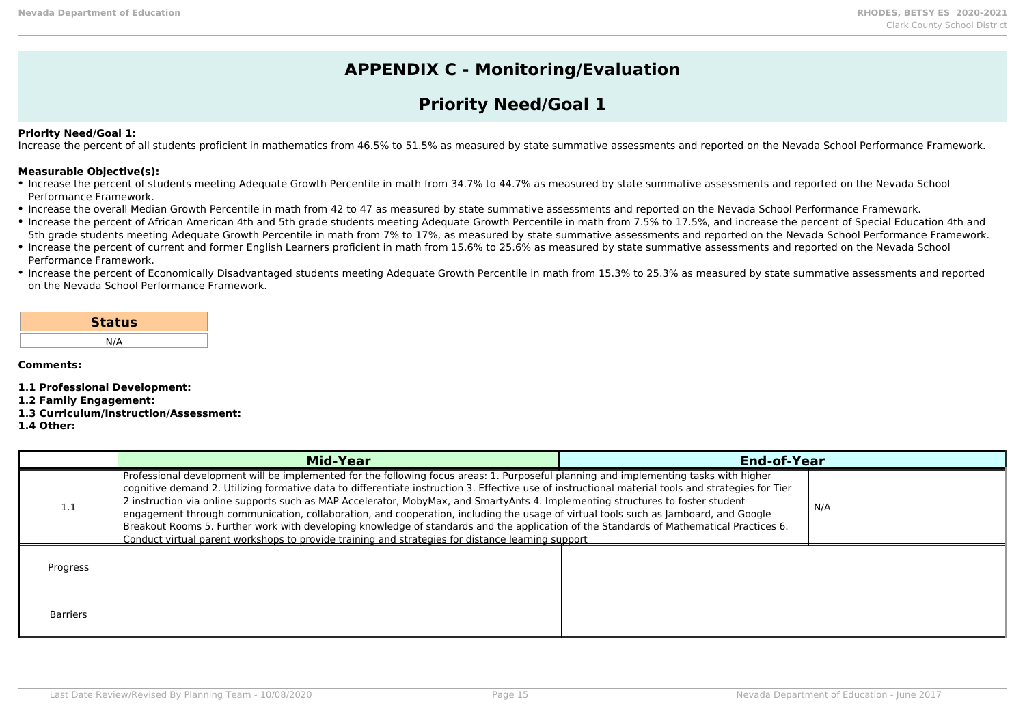# **APPENDIX C - Monitoring/Evaluation**

# **Priority Need/Goal 1**

### **Priority Need/Goal 1:**

Increase the percent of all students proficient in mathematics from 46.5% to 51.5% as measured by state summative assessments and reported on the Nevada School Performance Framework.

#### **Measurable Objective(s):**

- Increase the percent of students meeting Adequate Growth Percentile in math from 34.7% to 44.7% as measured by state summative assessments and reported on the Nevada School Performance Framework.
- Increase the overall Median Growth Percentile in math from 42 to 47 as measured by state summative assessments and reported on the Nevada School Performance Framework.
- Increase the percent of African American 4th and 5th grade students meeting Adequate Growth Percentile in math from 7.5% to 17.5%, and increase the percent of Special Education 4th and 5th grade students meeting Adequate Growth Percentile in math from 7% to 17%, as measured by state summative assessments and reported on the Nevada School Performance Framework.
- Increase the percent of current and former English Learners proficient in math from 15.6% to 25.6% as measured by state summative assessments and reported on the Nevada School Performance Framework.
- Increase the percent of Economically Disadvantaged students meeting Adequate Growth Percentile in math from 15.3% to 25.3% as measured by state summative assessments and reported on the Nevada School Performance Framework.

| <b>Status</b> |
|---------------|
| N/A           |

**Comments:**

**1.1 Professional Development:**

**1.2 Family Engagement:**

**1.3 Curriculum/Instruction/Assessment:**

**1.4 Other:**

|                 | <b>Mid-Year</b>                                                                                                                                                                                                                                                                                                                                                                                                                                                                                                                                                                                                                                                                                                                                                                                                       | <b>End-of-Year</b> |     |
|-----------------|-----------------------------------------------------------------------------------------------------------------------------------------------------------------------------------------------------------------------------------------------------------------------------------------------------------------------------------------------------------------------------------------------------------------------------------------------------------------------------------------------------------------------------------------------------------------------------------------------------------------------------------------------------------------------------------------------------------------------------------------------------------------------------------------------------------------------|--------------------|-----|
| 1.1             | Professional development will be implemented for the following focus areas: 1. Purposeful planning and implementing tasks with higher<br>cognitive demand 2. Utilizing formative data to differentiate instruction 3. Effective use of instructional material tools and strategies for Tier<br>2 instruction via online supports such as MAP Accelerator, MobyMax, and SmartyAnts 4. Implementing structures to foster student<br>engagement through communication, collaboration, and cooperation, including the usage of virtual tools such as Jamboard, and Google<br>Breakout Rooms 5. Further work with developing knowledge of standards and the application of the Standards of Mathematical Practices 6.<br>Conduct virtual parent workshops to provide training and strategies for distance learning support |                    | N/A |
| Progress        |                                                                                                                                                                                                                                                                                                                                                                                                                                                                                                                                                                                                                                                                                                                                                                                                                       |                    |     |
| <b>Barriers</b> |                                                                                                                                                                                                                                                                                                                                                                                                                                                                                                                                                                                                                                                                                                                                                                                                                       |                    |     |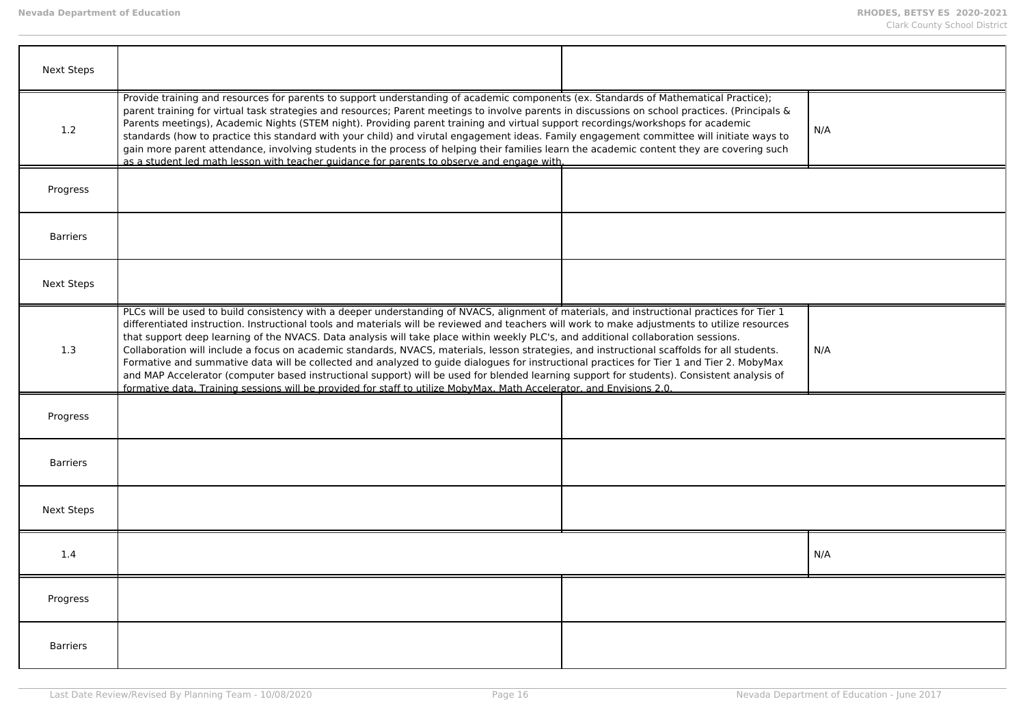| <b>Next Steps</b> |                                                                                                                                                                                                                                                                                                                                                                                                                                                                                                                                                                                                                                                                                                                                                                                                                                                                                                                                                                                                         |  |     |
|-------------------|---------------------------------------------------------------------------------------------------------------------------------------------------------------------------------------------------------------------------------------------------------------------------------------------------------------------------------------------------------------------------------------------------------------------------------------------------------------------------------------------------------------------------------------------------------------------------------------------------------------------------------------------------------------------------------------------------------------------------------------------------------------------------------------------------------------------------------------------------------------------------------------------------------------------------------------------------------------------------------------------------------|--|-----|
| 1.2               | Provide training and resources for parents to support understanding of academic components (ex. Standards of Mathematical Practice);<br>parent training for virtual task strategies and resources; Parent meetings to involve parents in discussions on school practices. (Principals &<br>Parents meetings), Academic Nights (STEM night). Providing parent training and virtual support recordings/workshops for academic<br>standards (how to practice this standard with your child) and virutal engagement ideas. Family engagement committee will initiate ways to<br>gain more parent attendance, involving students in the process of helping their families learn the academic content they are covering such<br>as a student led math lesson with teacher guidance for parents to observe and engage with.                                                                                                                                                                                    |  | N/A |
| Progress          |                                                                                                                                                                                                                                                                                                                                                                                                                                                                                                                                                                                                                                                                                                                                                                                                                                                                                                                                                                                                         |  |     |
| <b>Barriers</b>   |                                                                                                                                                                                                                                                                                                                                                                                                                                                                                                                                                                                                                                                                                                                                                                                                                                                                                                                                                                                                         |  |     |
| <b>Next Steps</b> |                                                                                                                                                                                                                                                                                                                                                                                                                                                                                                                                                                                                                                                                                                                                                                                                                                                                                                                                                                                                         |  |     |
| 1.3               | PLCs will be used to build consistency with a deeper understanding of NVACS, alignment of materials, and instructional practices for Tier 1<br>differentiated instruction. Instructional tools and materials will be reviewed and teachers will work to make adjustments to utilize resources<br>that support deep learning of the NVACS. Data analysis will take place within weekly PLC's, and additional collaboration sessions.<br>Collaboration will include a focus on academic standards, NVACS, materials, lesson strategies, and instructional scaffolds for all students.<br>Formative and summative data will be collected and analyzed to guide dialogues for instructional practices for Tier 1 and Tier 2. MobyMax<br>and MAP Accelerator (computer based instructional support) will be used for blended learning support for students). Consistent analysis of<br>formative data. Training sessions will be provided for staff to utilize MobyMax. Math Accelerator, and Envisions 2.0. |  | N/A |
| Progress          |                                                                                                                                                                                                                                                                                                                                                                                                                                                                                                                                                                                                                                                                                                                                                                                                                                                                                                                                                                                                         |  |     |
| <b>Barriers</b>   |                                                                                                                                                                                                                                                                                                                                                                                                                                                                                                                                                                                                                                                                                                                                                                                                                                                                                                                                                                                                         |  |     |
| <b>Next Steps</b> |                                                                                                                                                                                                                                                                                                                                                                                                                                                                                                                                                                                                                                                                                                                                                                                                                                                                                                                                                                                                         |  |     |
| 1.4               |                                                                                                                                                                                                                                                                                                                                                                                                                                                                                                                                                                                                                                                                                                                                                                                                                                                                                                                                                                                                         |  | N/A |
| Progress          |                                                                                                                                                                                                                                                                                                                                                                                                                                                                                                                                                                                                                                                                                                                                                                                                                                                                                                                                                                                                         |  |     |
| <b>Barriers</b>   |                                                                                                                                                                                                                                                                                                                                                                                                                                                                                                                                                                                                                                                                                                                                                                                                                                                                                                                                                                                                         |  |     |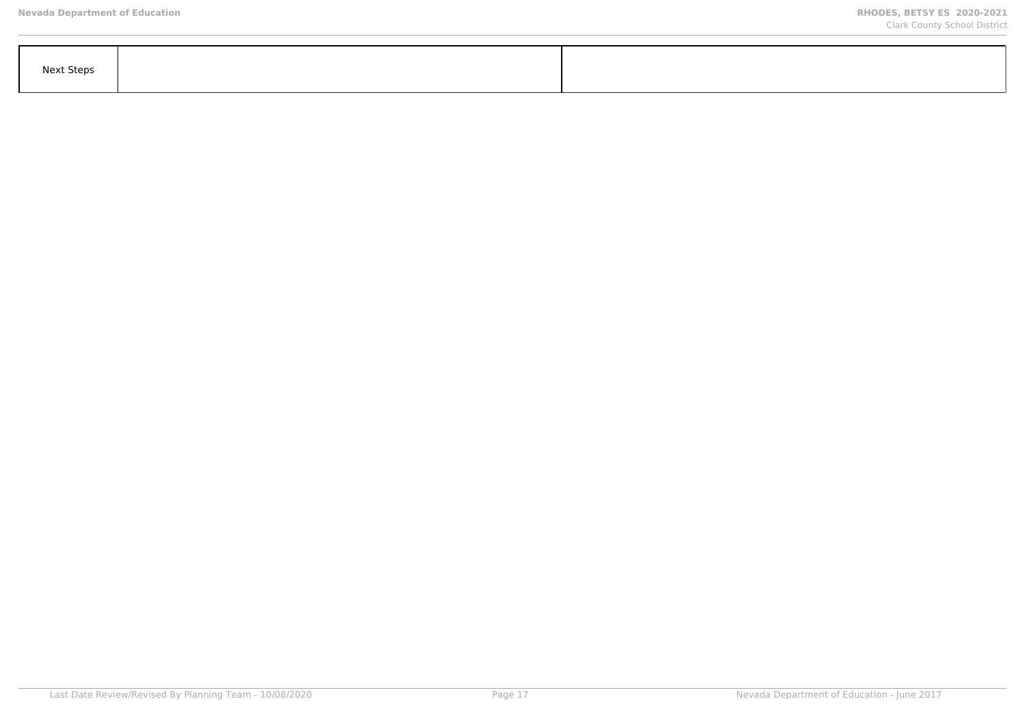| <b>Next Steps</b> |  |
|-------------------|--|
|                   |  |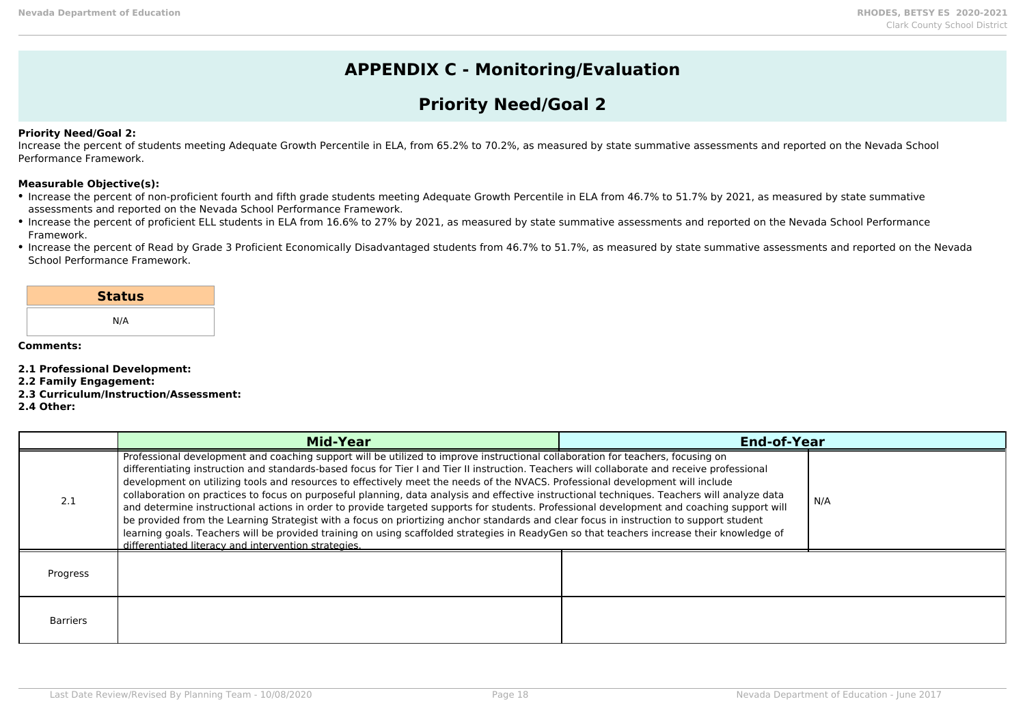# **APPENDIX C - Monitoring/Evaluation**

# **Priority Need/Goal 2**

### **Priority Need/Goal 2:**

Increase the percent of students meeting Adequate Growth Percentile in ELA, from 65.2% to 70.2%, as measured by state summative assessments and reported on the Nevada School Performance Framework.

### **Measurable Objective(s):**

- Increase the percent of non-proficient fourth and fifth grade students meeting Adequate Growth Percentile in ELA from 46.7% to 51.7% by 2021, as measured by state summative assessments and reported on the Nevada School Performance Framework.
- Increase the percent of proficient ELL students in ELA from 16.6% to 27% by 2021, as measured by state summative assessments and reported on the Nevada School Performance Framework.
- Increase the percent of Read by Grade 3 Proficient Economically Disadvantaged students from 46.7% to 51.7%, as measured by state summative assessments and reported on the Nevada School Performance Framework.

# **Status**

N/A

#### **Comments:**

- **2.1 Professional Development:**
- **2.2 Family Engagement:**
- **2.3 Curriculum/Instruction/Assessment:**

**2.4 Other:**

|                 | <b>Mid-Year</b>                                                                                                                                                                                                                                                                                                                                                                                                                                                                                                                                                                                                                                                                                                                                                                                                                                                                                                                                                                                                                                                  | <b>End-of-Year</b> |     |
|-----------------|------------------------------------------------------------------------------------------------------------------------------------------------------------------------------------------------------------------------------------------------------------------------------------------------------------------------------------------------------------------------------------------------------------------------------------------------------------------------------------------------------------------------------------------------------------------------------------------------------------------------------------------------------------------------------------------------------------------------------------------------------------------------------------------------------------------------------------------------------------------------------------------------------------------------------------------------------------------------------------------------------------------------------------------------------------------|--------------------|-----|
| 2.1             | Professional development and coaching support will be utilized to improve instructional collaboration for teachers, focusing on<br>differentiating instruction and standards-based focus for Tier I and Tier II instruction. Teachers will collaborate and receive professional<br>development on utilizing tools and resources to effectively meet the needs of the NVACS. Professional development will include<br>collaboration on practices to focus on purposeful planning, data analysis and effective instructional techniques. Teachers will analyze data<br>and determine instructional actions in order to provide targeted supports for students. Professional development and coaching support will<br>be provided from the Learning Strategist with a focus on priortizing anchor standards and clear focus in instruction to support student<br>learning goals. Teachers will be provided training on using scaffolded strategies in ReadyGen so that teachers increase their knowledge of<br>differentiated literacy and intervention strategies. |                    | N/A |
| Progress        |                                                                                                                                                                                                                                                                                                                                                                                                                                                                                                                                                                                                                                                                                                                                                                                                                                                                                                                                                                                                                                                                  |                    |     |
| <b>Barriers</b> |                                                                                                                                                                                                                                                                                                                                                                                                                                                                                                                                                                                                                                                                                                                                                                                                                                                                                                                                                                                                                                                                  |                    |     |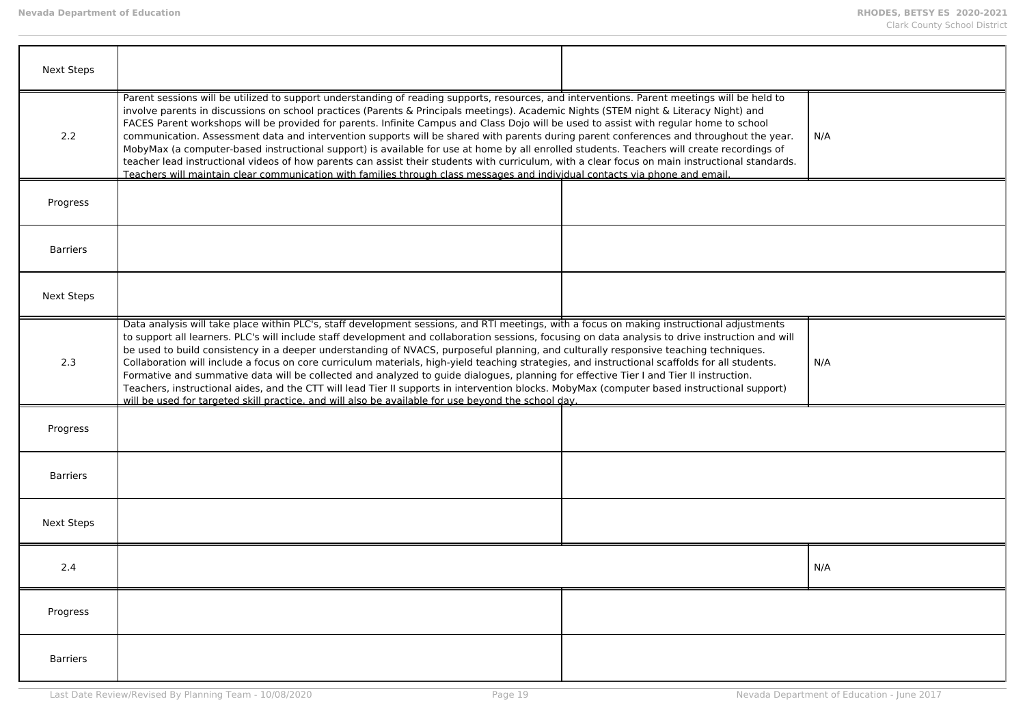| <b>Next Steps</b> |                                                                                                                                                                                                                                                                                                                                                                                                                                                                                                                                                                                                                                                                                                                                                                                                                                                                                                                                                                                                             |     |
|-------------------|-------------------------------------------------------------------------------------------------------------------------------------------------------------------------------------------------------------------------------------------------------------------------------------------------------------------------------------------------------------------------------------------------------------------------------------------------------------------------------------------------------------------------------------------------------------------------------------------------------------------------------------------------------------------------------------------------------------------------------------------------------------------------------------------------------------------------------------------------------------------------------------------------------------------------------------------------------------------------------------------------------------|-----|
| 2.2               | Parent sessions will be utilized to support understanding of reading supports, resources, and interventions. Parent meetings will be held to<br>involve parents in discussions on school practices (Parents & Principals meetings). Academic Nights (STEM night & Literacy Night) and<br>FACES Parent workshops will be provided for parents. Infinite Campus and Class Dojo will be used to assist with regular home to school<br>communication. Assessment data and intervention supports will be shared with parents during parent conferences and throughout the year.<br>MobyMax (a computer-based instructional support) is available for use at home by all enrolled students. Teachers will create recordings of<br>teacher lead instructional videos of how parents can assist their students with curriculum, with a clear focus on main instructional standards.<br>Teachers will maintain clear communication with families through class messages and individual contacts via phone and email. | N/A |
| Progress          |                                                                                                                                                                                                                                                                                                                                                                                                                                                                                                                                                                                                                                                                                                                                                                                                                                                                                                                                                                                                             |     |
| <b>Barriers</b>   |                                                                                                                                                                                                                                                                                                                                                                                                                                                                                                                                                                                                                                                                                                                                                                                                                                                                                                                                                                                                             |     |
| <b>Next Steps</b> |                                                                                                                                                                                                                                                                                                                                                                                                                                                                                                                                                                                                                                                                                                                                                                                                                                                                                                                                                                                                             |     |
| 2.3               | Data analysis will take place within PLC's, staff development sessions, and RTI meetings, with a focus on making instructional adjustments<br>to support all learners. PLC's will include staff development and collaboration sessions, focusing on data analysis to drive instruction and will<br>be used to build consistency in a deeper understanding of NVACS, purposeful planning, and culturally responsive teaching techniques.<br>Collaboration will include a focus on core curriculum materials, high-yield teaching strategies, and instructional scaffolds for all students.<br>Formative and summative data will be collected and analyzed to guide dialogues, planning for effective Tier I and Tier II instruction.<br>Teachers, instructional aides, and the CTT will lead Tier II supports in intervention blocks. MobyMax (computer based instructional support)<br>will be used for targeted skill practice, and will also be available for use beyond the school day.                  | N/A |
| Progress          |                                                                                                                                                                                                                                                                                                                                                                                                                                                                                                                                                                                                                                                                                                                                                                                                                                                                                                                                                                                                             |     |
| <b>Barriers</b>   |                                                                                                                                                                                                                                                                                                                                                                                                                                                                                                                                                                                                                                                                                                                                                                                                                                                                                                                                                                                                             |     |
| <b>Next Steps</b> |                                                                                                                                                                                                                                                                                                                                                                                                                                                                                                                                                                                                                                                                                                                                                                                                                                                                                                                                                                                                             |     |
| 2.4               |                                                                                                                                                                                                                                                                                                                                                                                                                                                                                                                                                                                                                                                                                                                                                                                                                                                                                                                                                                                                             | N/A |
| Progress          |                                                                                                                                                                                                                                                                                                                                                                                                                                                                                                                                                                                                                                                                                                                                                                                                                                                                                                                                                                                                             |     |
| <b>Barriers</b>   |                                                                                                                                                                                                                                                                                                                                                                                                                                                                                                                                                                                                                                                                                                                                                                                                                                                                                                                                                                                                             |     |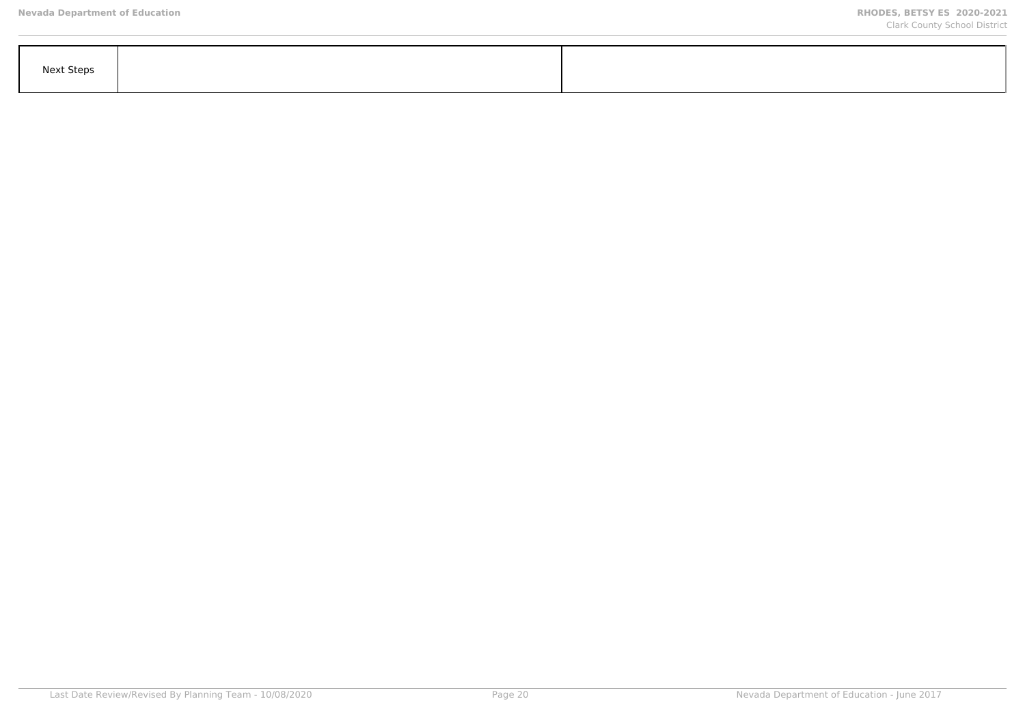| <b>Next Steps</b> |  |
|-------------------|--|
|                   |  |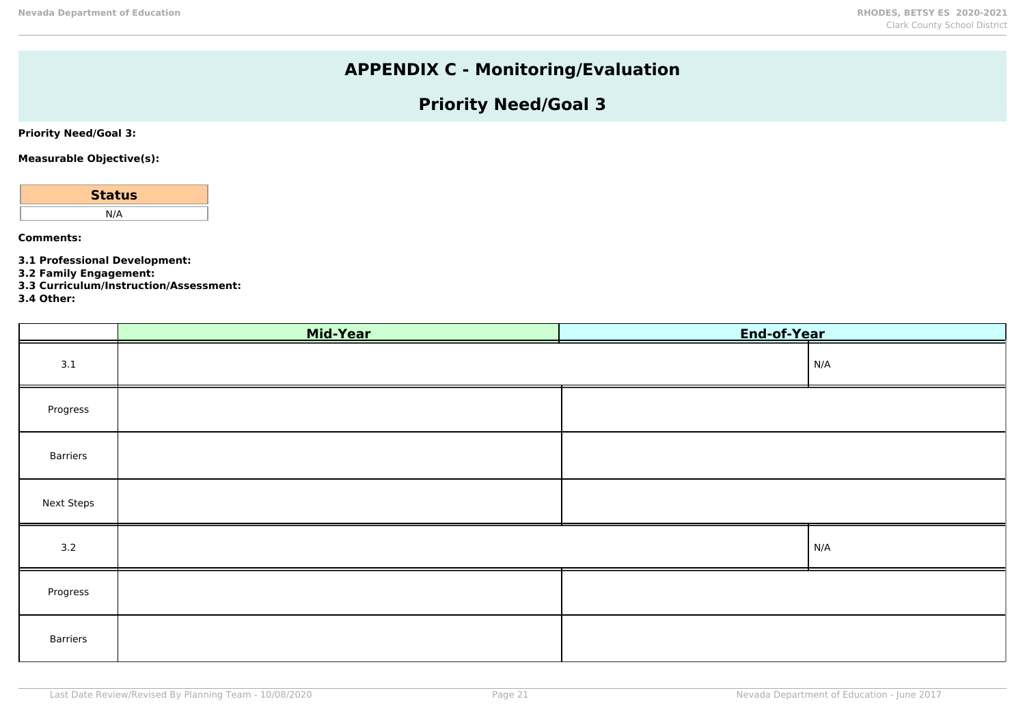# **APPENDIX C - Monitoring/Evaluation**

# **Priority Need/Goal 3**

**Priority Need/Goal 3:**

**Measurable Objective(s):**

| <b>Status</b> |  |
|---------------|--|
| N/A           |  |
|               |  |

**Comments:**

**3.1 Professional Development:**

**3.2 Family Engagement:**

**3.3 Curriculum/Instruction/Assessment:**

**3.4 Other:**

|                   | End-of-Year<br>Mid-Year |  |     |
|-------------------|-------------------------|--|-----|
| 3.1               |                         |  | N/A |
| Progress          |                         |  |     |
| Barriers          |                         |  |     |
| <b>Next Steps</b> |                         |  |     |
| 3.2               |                         |  | N/A |
| Progress          |                         |  |     |
| Barriers          |                         |  |     |